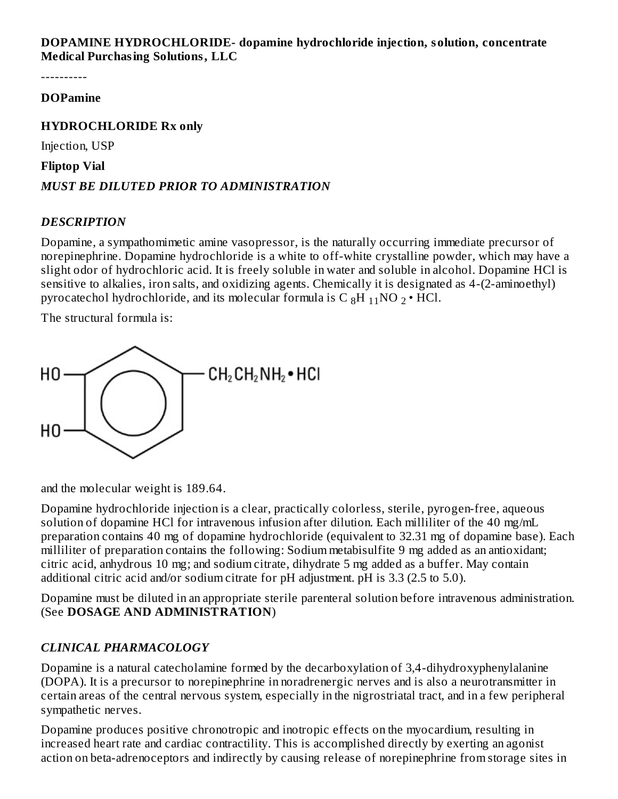### **DOPAMINE HYDROCHLORIDE- dopamine hydrochloride injection, solution, concentrate Medical Purchasing Solutions, LLC**

----------

#### **DOPamine**

**HYDROCHLORIDE Rx only**

Injection, USP

# **Fliptop Vial**

## *MUST BE DILUTED PRIOR TO ADMINISTRATION*

### *DESCRIPTION*

Dopamine, a sympathomimetic amine vasopressor, is the naturally occurring immediate precursor of norepinephrine. Dopamine hydrochloride is a white to off-white crystalline powder, which may have a slight odor of hydrochloric acid. It is freely soluble in water and soluble in alcohol. Dopamine HCl is sensitive to alkalies, iron salts, and oxidizing agents. Chemically it is designated as 4-(2-aminoethyl) pyrocatechol hydrochloride, and its molecular formula is C  $_8H$   $_{11}NO$   $_2 \cdot$  HCl.

The structural formula is:



and the molecular weight is 189.64.

Dopamine hydrochloride injection is a clear, practically colorless, sterile, pyrogen-free, aqueous solution of dopamine HCl for intravenous infusion after dilution. Each milliliter of the 40 mg/mL preparation contains 40 mg of dopamine hydrochloride (equivalent to 32.31 mg of dopamine base). Each milliliter of preparation contains the following: Sodium metabisulfite 9 mg added as an antioxidant; citric acid, anhydrous 10 mg; and sodium citrate, dihydrate 5 mg added as a buffer. May contain additional citric acid and/or sodium citrate for pH adjustment. pH is 3.3 (2.5 to 5.0).

Dopamine must be diluted in an appropriate sterile parenteral solution before intravenous administration. (See **DOSAGE AND ADMINISTRATION**)

## *CLINICAL PHARMACOLOGY*

Dopamine is a natural catecholamine formed by the decarboxylation of 3,4-dihydroxyphenylalanine (DOPA). It is a precursor to norepinephrine in noradrenergic nerves and is also a neurotransmitter in certain areas of the central nervous system, especially in the nigrostriatal tract, and in a few peripheral sympathetic nerves.

Dopamine produces positive chronotropic and inotropic effects on the myocardium, resulting in increased heart rate and cardiac contractility. This is accomplished directly by exerting an agonist action on beta-adrenoceptors and indirectly by causing release of norepinephrine from storage sites in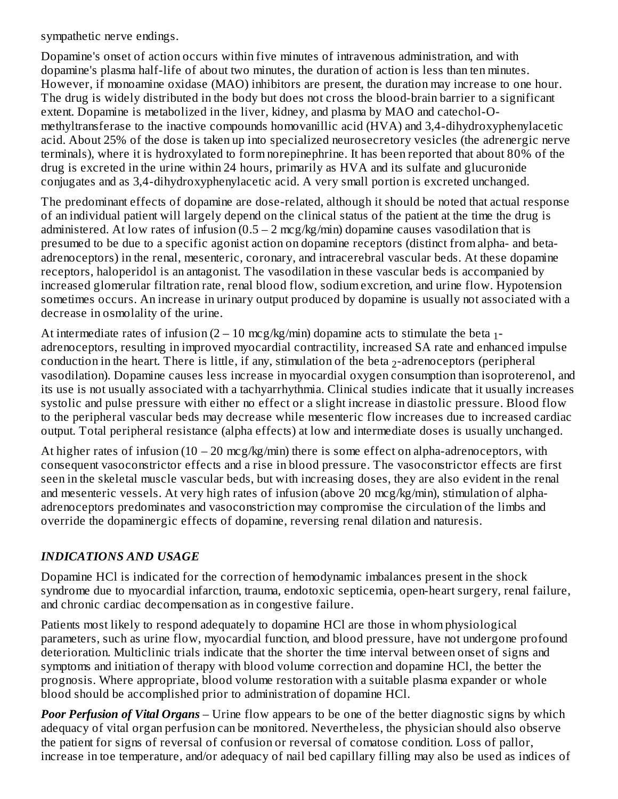sympathetic nerve endings.

Dopamine's onset of action occurs within five minutes of intravenous administration, and with dopamine's plasma half-life of about two minutes, the duration of action is less than ten minutes. However, if monoamine oxidase (MAO) inhibitors are present, the duration may increase to one hour. The drug is widely distributed in the body but does not cross the blood-brain barrier to a significant extent. Dopamine is metabolized in the liver, kidney, and plasma by MAO and catechol-Omethyltransferase to the inactive compounds homovanillic acid (HVA) and 3,4-dihydroxyphenylacetic acid. About 25% of the dose is taken up into specialized neurosecretory vesicles (the adrenergic nerve terminals), where it is hydroxylated to form norepinephrine. It has been reported that about 80% of the drug is excreted in the urine within 24 hours, primarily as HVA and its sulfate and glucuronide conjugates and as 3,4-dihydroxyphenylacetic acid. A very small portion is excreted unchanged.

The predominant effects of dopamine are dose-related, although it should be noted that actual response of an individual patient will largely depend on the clinical status of the patient at the time the drug is administered. At low rates of infusion  $(0.5 - 2 \text{ mcg/kg/min})$  dopamine causes vasodilation that is presumed to be due to a specific agonist action on dopamine receptors (distinct from alpha- and betaadrenoceptors) in the renal, mesenteric, coronary, and intracerebral vascular beds. At these dopamine receptors, haloperidol is an antagonist. The vasodilation in these vascular beds is accompanied by increased glomerular filtration rate, renal blood flow, sodium excretion, and urine flow. Hypotension sometimes occurs. An increase in urinary output produced by dopamine is usually not associated with a decrease in osmolality of the urine.

At intermediate rates of infusion  $(2 - 10 \text{ mcg/kg/min})$  dopamine acts to stimulate the beta  $_1$ adrenoceptors, resulting in improved myocardial contractility, increased SA rate and enhanced impulse conduction in the heart. There is little, if any, stimulation of the beta  $_2$ -adrenoceptors (peripheral vasodilation). Dopamine causes less increase in myocardial oxygen consumption than isoproterenol, and its use is not usually associated with a tachyarrhythmia. Clinical studies indicate that it usually increases systolic and pulse pressure with either no effect or a slight increase in diastolic pressure. Blood flow to the peripheral vascular beds may decrease while mesenteric flow increases due to increased cardiac output. Total peripheral resistance (alpha effects) at low and intermediate doses is usually unchanged.

At higher rates of infusion  $(10 - 20 \text{ mcg/kg/min})$  there is some effect on alpha-adrenoceptors, with consequent vasoconstrictor effects and a rise in blood pressure. The vasoconstrictor effects are first seen in the skeletal muscle vascular beds, but with increasing doses, they are also evident in the renal and mesenteric vessels. At very high rates of infusion (above 20 mcg/kg/min), stimulation of alphaadrenoceptors predominates and vasoconstriction may compromise the circulation of the limbs and override the dopaminergic effects of dopamine, reversing renal dilation and naturesis.

## *INDICATIONS AND USAGE*

Dopamine HCl is indicated for the correction of hemodynamic imbalances present in the shock syndrome due to myocardial infarction, trauma, endotoxic septicemia, open-heart surgery, renal failure, and chronic cardiac decompensation as in congestive failure.

Patients most likely to respond adequately to dopamine HCl are those in whom physiological parameters, such as urine flow, myocardial function, and blood pressure, have not undergone profound deterioration. Multiclinic trials indicate that the shorter the time interval between onset of signs and symptoms and initiation of therapy with blood volume correction and dopamine HCl, the better the prognosis. Where appropriate, blood volume restoration with a suitable plasma expander or whole blood should be accomplished prior to administration of dopamine HCl.

*Poor Perfusion of Vital Organs* – Urine flow appears to be one of the better diagnostic signs by which adequacy of vital organ perfusion can be monitored. Nevertheless, the physician should also observe the patient for signs of reversal of confusion or reversal of comatose condition. Loss of pallor, increase in toe temperature, and/or adequacy of nail bed capillary filling may also be used as indices of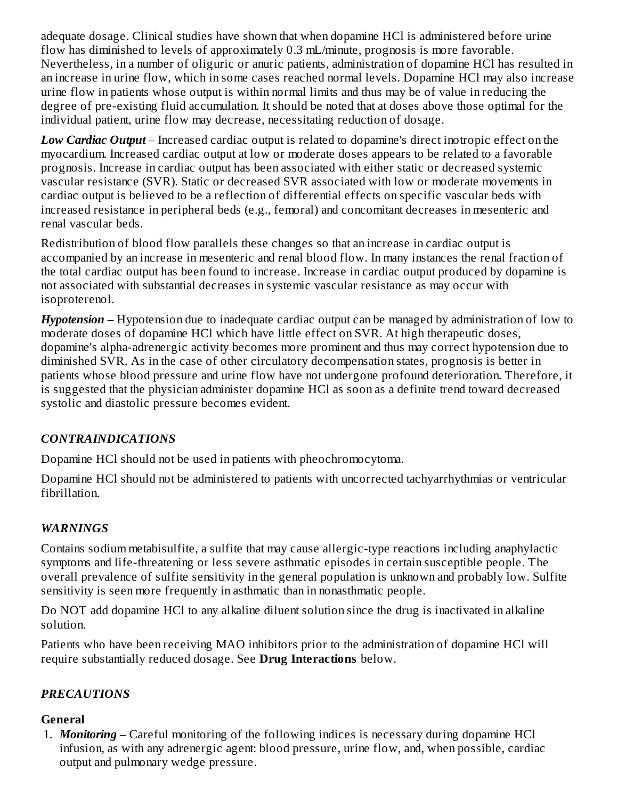adequate dosage. Clinical studies have shown that when dopamine HCl is administered before urine flow has diminished to levels of approximately 0.3 mL/minute, prognosis is more favorable. Nevertheless, in a number of oliguric or anuric patients, administration of dopamine HCl has resulted in an increase in urine flow, which in some cases reached normal levels. Dopamine HCl may also increase urine flow in patients whose output is within normal limits and thus may be of value in reducing the degree of pre-existing fluid accumulation. It should be noted that at doses above those optimal for the individual patient, urine flow may decrease, necessitating reduction of dosage.

*Low Cardiac Output* – Increased cardiac output is related to dopamine's direct inotropic effect on the myocardium. Increased cardiac output at low or moderate doses appears to be related to a favorable prognosis. Increase in cardiac output has been associated with either static or decreased systemic vascular resistance (SVR). Static or decreased SVR associated with low or moderate movements in cardiac output is believed to be a reflection of differential effects on specific vascular beds with increased resistance in peripheral beds (e.g., femoral) and concomitant decreases in mesenteric and renal vascular beds.

Redistribution of blood flow parallels these changes so that an increase in cardiac output is accompanied by an increase in mesenteric and renal blood flow. In many instances the renal fraction of the total cardiac output has been found to increase. Increase in cardiac output produced by dopamine is not associated with substantial decreases in systemic vascular resistance as may occur with isoproterenol.

*Hypotension* – Hypotension due to inadequate cardiac output can be managed by administration of low to moderate doses of dopamine HCl which have little effect on SVR. At high therapeutic doses, dopamine's alpha-adrenergic activity becomes more prominent and thus may correct hypotension due to diminished SVR. As in the case of other circulatory decompensation states, prognosis is better in patients whose blood pressure and urine flow have not undergone profound deterioration. Therefore, it is suggested that the physician administer dopamine HCl as soon as a definite trend toward decreased systolic and diastolic pressure becomes evident.

## *CONTRAINDICATIONS*

Dopamine HCl should not be used in patients with pheochromocytoma.

Dopamine HCl should not be administered to patients with uncorrected tachyarrhythmias or ventricular fibrillation.

### *WARNINGS*

Contains sodium metabisulfite, a sulfite that may cause allergic-type reactions including anaphylactic symptoms and life-threatening or less severe asthmatic episodes in certain susceptible people. The overall prevalence of sulfite sensitivity in the general population is unknown and probably low. Sulfite sensitivity is seen more frequently in asthmatic than in nonasthmatic people.

Do NOT add dopamine HCl to any alkaline diluent solution since the drug is inactivated in alkaline solution.

Patients who have been receiving MAO inhibitors prior to the administration of dopamine HCl will require substantially reduced dosage. See **Drug Interactions** below.

## *PRECAUTIONS*

### **General**

1. *Monitoring* – Careful monitoring of the following indices is necessary during dopamine HCl infusion, as with any adrenergic agent: blood pressure, urine flow, and, when possible, cardiac output and pulmonary wedge pressure.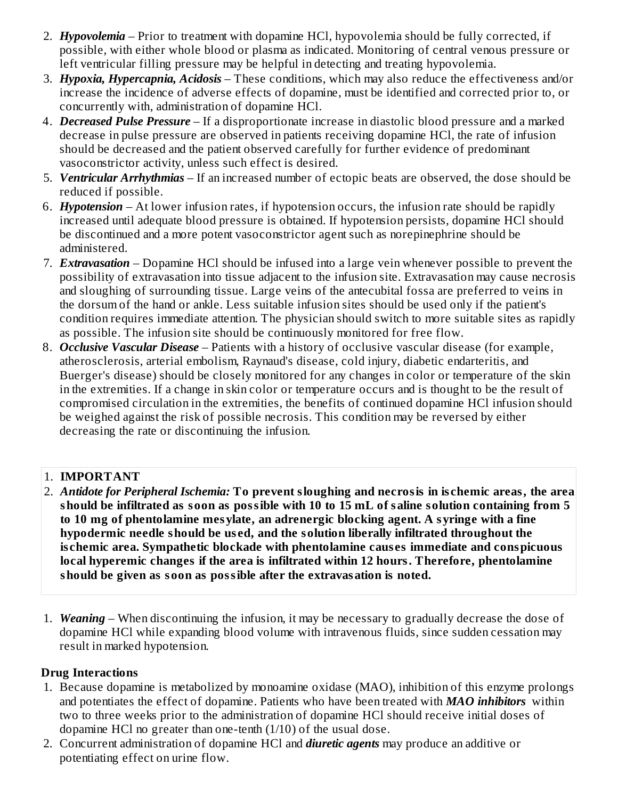- 2. *Hypovolemia* Prior to treatment with dopamine HCl, hypovolemia should be fully corrected, if possible, with either whole blood or plasma as indicated. Monitoring of central venous pressure or left ventricular filling pressure may be helpful in detecting and treating hypovolemia.
- 3. *Hypoxia, Hypercapnia, Acidosis* These conditions, which may also reduce the effectiveness and/or increase the incidence of adverse effects of dopamine, must be identified and corrected prior to, or concurrently with, administration of dopamine HCl.
- 4. *Decreased Pulse Pressure* If a disproportionate increase in diastolic blood pressure and a marked decrease in pulse pressure are observed in patients receiving dopamine HCl, the rate of infusion should be decreased and the patient observed carefully for further evidence of predominant vasoconstrictor activity, unless such effect is desired.
- 5. *Ventricular Arrhythmias* If an increased number of ectopic beats are observed, the dose should be reduced if possible.
- 6. *Hypotension* At lower infusion rates, if hypotension occurs, the infusion rate should be rapidly increased until adequate blood pressure is obtained. If hypotension persists, dopamine HCl should be discontinued and a more potent vasoconstrictor agent such as norepinephrine should be administered.
- 7. *Extravasation* Dopamine HCl should be infused into a large vein whenever possible to prevent the possibility of extravasation into tissue adjacent to the infusion site. Extravasation may cause necrosis and sloughing of surrounding tissue. Large veins of the antecubital fossa are preferred to veins in the dorsum of the hand or ankle. Less suitable infusion sites should be used only if the patient's condition requires immediate attention. The physician should switch to more suitable sites as rapidly as possible. The infusion site should be continuously monitored for free flow.
- 8. *Occlusive Vascular Disease* Patients with a history of occlusive vascular disease (for example, atherosclerosis, arterial embolism, Raynaud's disease, cold injury, diabetic endarteritis, and Buerger's disease) should be closely monitored for any changes in color or temperature of the skin in the extremities. If a change in skin color or temperature occurs and is thought to be the result of compromised circulation in the extremities, the benefits of continued dopamine HCl infusion should be weighed against the risk of possible necrosis. This condition may be reversed by either decreasing the rate or discontinuing the infusion.

## 1. **IMPORTANT**

- 2. *Antidote for Peripheral Ischemia:* **To prevent sloughing and necrosis in is chemic areas, the area should be infiltrated as soon as possible with 10 to 15 mL of saline solution containing from 5 to 10 mg of phentolamine mesylate, an adrenergic blocking agent. A syringe with a fine hypodermic needle should be us ed, and the solution liberally infiltrated throughout the is chemic area. Sympathetic blockade with phentolamine caus es immediate and conspicuous local hyperemic changes if the area is infiltrated within 12 hours. Therefore, phentolamine should be given as soon as possible after the extravasation is noted.**
- 1. *Weaning* When discontinuing the infusion, it may be necessary to gradually decrease the dose of dopamine HCl while expanding blood volume with intravenous fluids, since sudden cessation may result in marked hypotension.

### **Drug Interactions**

- 1. Because dopamine is metabolized by monoamine oxidase (MAO), inhibition of this enzyme prolongs and potentiates the effect of dopamine. Patients who have been treated with *MAO inhibitors* within two to three weeks prior to the administration of dopamine HCl should receive initial doses of dopamine HCl no greater than one-tenth (1/10) of the usual dose.
- 2. Concurrent administration of dopamine HCl and *diuretic agents* may produce an additive or potentiating effect on urine flow.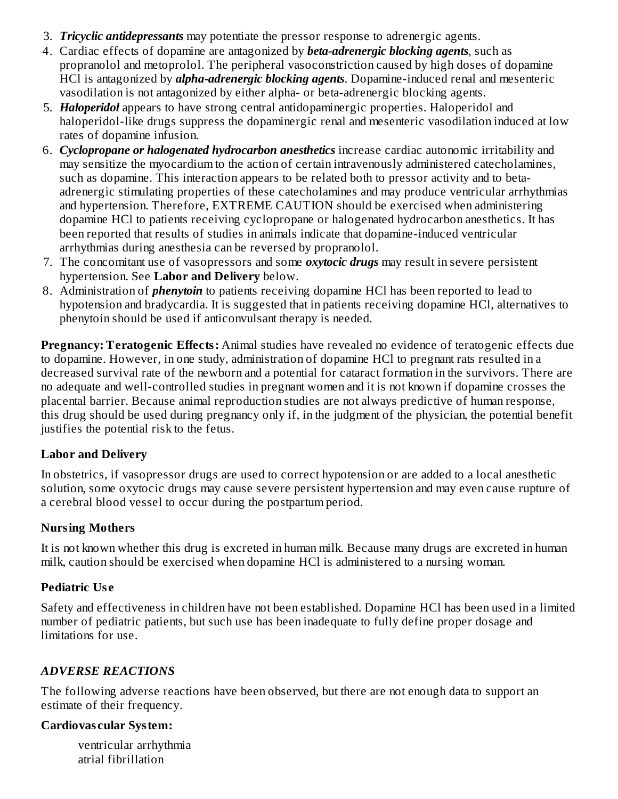- 3. *Tricyclic antidepressants* may potentiate the pressor response to adrenergic agents.
- 4. Cardiac effects of dopamine are antagonized by *beta-adrenergic blocking agents*, such as propranolol and metoprolol. The peripheral vasoconstriction caused by high doses of dopamine HCl is antagonized by *alpha-adrenergic blocking agents*. Dopamine-induced renal and mesenteric vasodilation is not antagonized by either alpha- or beta-adrenergic blocking agents.
- 5. *Haloperidol* appears to have strong central antidopaminergic properties. Haloperidol and haloperidol-like drugs suppress the dopaminergic renal and mesenteric vasodilation induced at low rates of dopamine infusion.
- 6. *Cyclopropane or halogenated hydrocarbon anesthetics* increase cardiac autonomic irritability and may sensitize the myocardium to the action of certain intravenously administered catecholamines, such as dopamine. This interaction appears to be related both to pressor activity and to betaadrenergic stimulating properties of these catecholamines and may produce ventricular arrhythmias and hypertension. Therefore, EXTREME CAUTION should be exercised when administering dopamine HCl to patients receiving cyclopropane or halogenated hydrocarbon anesthetics. It has been reported that results of studies in animals indicate that dopamine-induced ventricular arrhythmias during anesthesia can be reversed by propranolol.
- 7. The concomitant use of vasopressors and some *oxytocic drugs* may result in severe persistent hypertension. See **Labor and Delivery** below.
- 8. Administration of *phenytoin* to patients receiving dopamine HCl has been reported to lead to hypotension and bradycardia. It is suggested that in patients receiving dopamine HCl, alternatives to phenytoin should be used if anticonvulsant therapy is needed.

**Pregnancy: Teratogenic Effects:** Animal studies have revealed no evidence of teratogenic effects due to dopamine. However, in one study, administration of dopamine HCl to pregnant rats resulted in a decreased survival rate of the newborn and a potential for cataract formation in the survivors. There are no adequate and well-controlled studies in pregnant women and it is not known if dopamine crosses the placental barrier. Because animal reproduction studies are not always predictive of human response, this drug should be used during pregnancy only if, in the judgment of the physician, the potential benefit justifies the potential risk to the fetus.

## **Labor and Delivery**

In obstetrics, if vasopressor drugs are used to correct hypotension or are added to a local anesthetic solution, some oxytocic drugs may cause severe persistent hypertension and may even cause rupture of a cerebral blood vessel to occur during the postpartum period.

## **Nursing Mothers**

It is not known whether this drug is excreted in human milk. Because many drugs are excreted in human milk, caution should be exercised when dopamine HCl is administered to a nursing woman.

## **Pediatric Us e**

Safety and effectiveness in children have not been established. Dopamine HCl has been used in a limited number of pediatric patients, but such use has been inadequate to fully define proper dosage and limitations for use.

### *ADVERSE REACTIONS*

The following adverse reactions have been observed, but there are not enough data to support an estimate of their frequency.

### **Cardiovas cular System:**

ventricular arrhythmia atrial fibrillation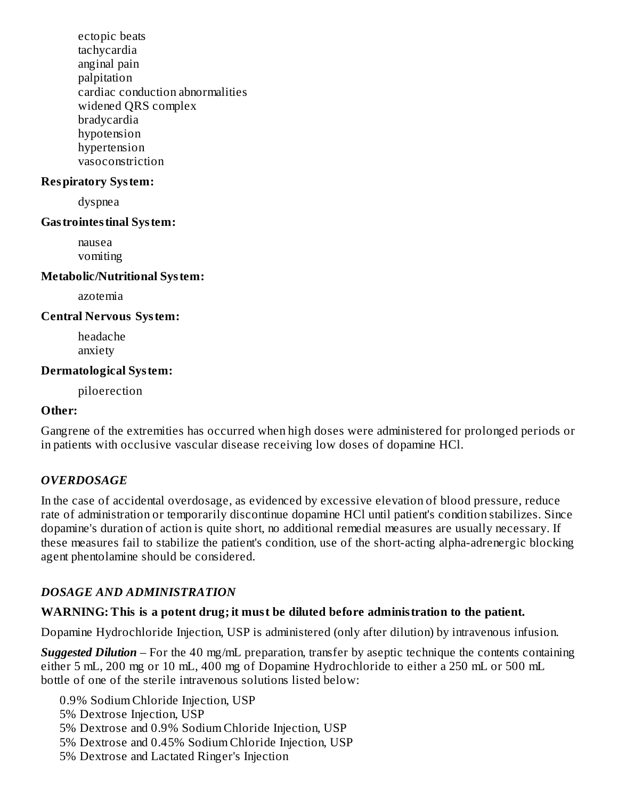ectopic beats tachycardia anginal pain palpitation cardiac conduction abnormalities widened QRS complex bradycardia hypotension hypertension vasoconstriction

#### **Respiratory System:**

dyspnea

#### **Gastrointestinal System:**

nausea vomiting

#### **Metabolic/Nutritional System:**

azotemia

#### **Central Nervous System:**

headache anxiety

#### **Dermatological System:**

piloerection

#### **Other:**

Gangrene of the extremities has occurred when high doses were administered for prolonged periods or in patients with occlusive vascular disease receiving low doses of dopamine HCl.

### *OVERDOSAGE*

In the case of accidental overdosage, as evidenced by excessive elevation of blood pressure, reduce rate of administration or temporarily discontinue dopamine HCl until patient's condition stabilizes. Since dopamine's duration of action is quite short, no additional remedial measures are usually necessary. If these measures fail to stabilize the patient's condition, use of the short-acting alpha-adrenergic blocking agent phentolamine should be considered.

#### *DOSAGE AND ADMINISTRATION*

#### **WARNING: This is a potent drug; it must be diluted before administration to the patient.**

Dopamine Hydrochloride Injection, USP is administered (only after dilution) by intravenous infusion.

*Suggested Dilution* – For the 40 mg/mL preparation, transfer by aseptic technique the contents containing either 5 mL, 200 mg or 10 mL, 400 mg of Dopamine Hydrochloride to either a 250 mL or 500 mL bottle of one of the sterile intravenous solutions listed below:

0.9% Sodium Chloride Injection, USP 5% Dextrose Injection, USP 5% Dextrose and 0.9% Sodium Chloride Injection, USP 5% Dextrose and 0.45% Sodium Chloride Injection, USP 5% Dextrose and Lactated Ringer's Injection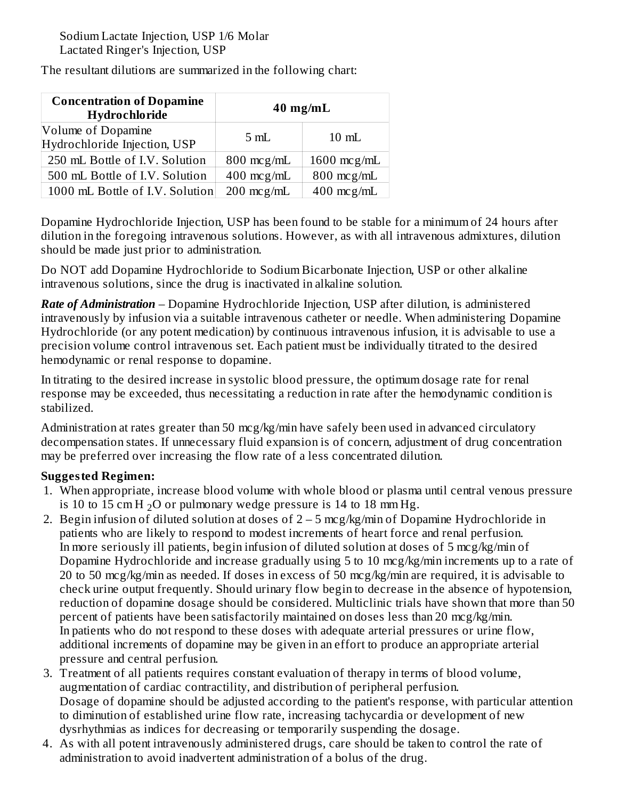The resultant dilutions are summarized in the following chart:

| <b>Concentration of Dopamine</b><br>Hydrochloride  | $40$ mg/mL           |                       |
|----------------------------------------------------|----------------------|-----------------------|
| Volume of Dopamine<br>Hydrochloride Injection, USP | $5 \text{ mL}$       | $10 \text{ mL}$       |
| 250 mL Bottle of I.V. Solution                     | $800 \text{ mcg/mL}$ | $1600 \text{ mcg/mL}$ |
| 500 mL Bottle of I.V. Solution                     | $400 \text{ mcg/mL}$ | $800 \text{ mcg/mL}$  |
| 1000 mL Bottle of I.V. Solution                    | $200 \text{ mcg/mL}$ | $400 \text{ mcg/mL}$  |

Dopamine Hydrochloride Injection, USP has been found to be stable for a minimum of 24 hours after dilution in the foregoing intravenous solutions. However, as with all intravenous admixtures, dilution should be made just prior to administration.

Do NOT add Dopamine Hydrochloride to Sodium Bicarbonate Injection, USP or other alkaline intravenous solutions, since the drug is inactivated in alkaline solution.

*Rate of Administration* – Dopamine Hydrochloride Injection, USP after dilution, is administered intravenously by infusion via a suitable intravenous catheter or needle. When administering Dopamine Hydrochloride (or any potent medication) by continuous intravenous infusion, it is advisable to use a precision volume control intravenous set. Each patient must be individually titrated to the desired hemodynamic or renal response to dopamine.

In titrating to the desired increase in systolic blood pressure, the optimum dosage rate for renal response may be exceeded, thus necessitating a reduction in rate after the hemodynamic condition is stabilized.

Administration at rates greater than 50 mcg/kg/min have safely been used in advanced circulatory decompensation states. If unnecessary fluid expansion is of concern, adjustment of drug concentration may be preferred over increasing the flow rate of a less concentrated dilution.

### **Suggested Regimen:**

- 1. When appropriate, increase blood volume with whole blood or plasma until central venous pressure is 10 to 15 cm H  $_2$ O or pulmonary wedge pressure is 14 to 18 mm Hg.
- 2. Begin infusion of diluted solution at doses of 2 5 mcg/kg/min of Dopamine Hydrochloride in patients who are likely to respond to modest increments of heart force and renal perfusion. In more seriously ill patients, begin infusion of diluted solution at doses of 5 mcg/kg/min of Dopamine Hydrochloride and increase gradually using 5 to 10 mcg/kg/min increments up to a rate of 20 to 50 mcg/kg/min as needed. If doses in excess of 50 mcg/kg/min are required, it is advisable to check urine output frequently. Should urinary flow begin to decrease in the absence of hypotension, reduction of dopamine dosage should be considered. Multiclinic trials have shown that more than 50 percent of patients have been satisfactorily maintained on doses less than 20 mcg/kg/min. In patients who do not respond to these doses with adequate arterial pressures or urine flow, additional increments of dopamine may be given in an effort to produce an appropriate arterial pressure and central perfusion.
- 3. Treatment of all patients requires constant evaluation of therapy in terms of blood volume, augmentation of cardiac contractility, and distribution of peripheral perfusion. Dosage of dopamine should be adjusted according to the patient's response, with particular attention to diminution of established urine flow rate, increasing tachycardia or development of new dysrhythmias as indices for decreasing or temporarily suspending the dosage.
- 4. As with all potent intravenously administered drugs, care should be taken to control the rate of administration to avoid inadvertent administration of a bolus of the drug.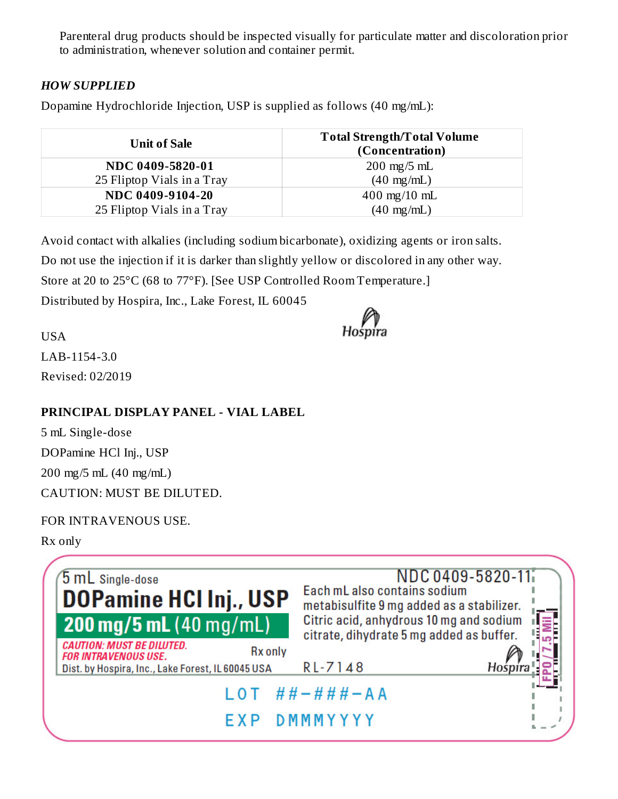Parenteral drug products should be inspected visually for particulate matter and discoloration prior to administration, whenever solution and container permit.

### *HOW SUPPLIED*

Dopamine Hydrochloride Injection, USP is supplied as follows (40 mg/mL):

| Unit of Sale               | <b>Total Strength/Total Volume</b><br>(Concentration) |  |
|----------------------------|-------------------------------------------------------|--|
| NDC 0409-5820-01           | $200 \text{ mg}/5 \text{ mL}$                         |  |
| 25 Fliptop Vials in a Tray | $(40 \text{ mg/mL})$                                  |  |
| NDC 0409-9104-20           | $400 \text{ mg}/10 \text{ mL}$                        |  |
| 25 Fliptop Vials in a Tray | $(40 \text{ mg/mL})$                                  |  |

Avoid contact with alkalies (including sodium bicarbonate), oxidizing agents or iron salts. Do not use the injection if it is darker than slightly yellow or discolored in any other way. Store at 20 to 25°C (68 to 77°F). [See USP Controlled Room Temperature.] Distributed by Hospira, Inc., Lake Forest, IL 60045

USA

LAB-1154-3.0 Revised: 02/2019

## **PRINCIPAL DISPLAY PANEL - VIAL LABEL**

5 mL Single-dose DOPamine HCl Inj., USP 200 mg/5 mL (40 mg/mL) CAUTION: MUST BE DILUTED.

FOR INTRAVENOUS USE.

Rx only

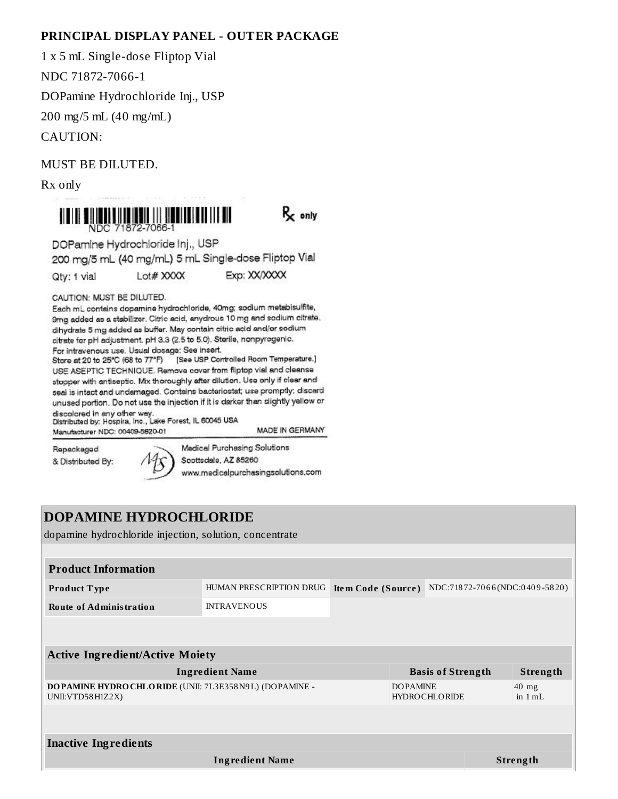### **PRINCIPAL DISPLAY PANEL - OUTER PACKAGE**

1 x 5 mL Single-dose Fliptop Vial

NDC 71872-7066-1

DOPamine Hydrochloride Inj., USP

200 mg/5 mL (40 mg/mL)

CAUTION:

MUST BE DILUTED.

Rx only





DOPamine Hydrochloride Inj., USP 200 mg/5 mL (40 mg/mL) 5 mL Single-dose Fliptop Vial Exp: XX/XXXX Qtv: 1 vial Lot# XXXX

CAUTION: MUST BE DILUTED.

Each mL contains dopamine hydrochloride, 40mg; sodium metabisulfite, 9mg added as a stabilizer. Citric acid, anydrous 10 mg and sodium citrate, dihydrate 5 mg added as buffer. May contain citric acid and/or sodium citrate for pH adjustment. pH 3.3 (2.5 to 5.0). Sterile, nonpyrogenic. For intravenous use. Usual dosage: See insert.

Store at 20 to 25°C (68 to 77°F) [See USP Controlled Room Temperature.] USE ASEPTIC TECHNIQUE. Remove cover from fliptop vial and cleanse stopper with antiseptic. Mix thoroughly after dilution. Use only if clear and seal is intact and undamaged. Contains bacteriostat; use promptly; discard unused portion. Do not use the injection if it is darker than slightly yellow or

discolored in any other way.<br>Distributed by: Hospira, Inc., Lake Forest, IL 60045 USA Manufacturer NDC: 00409-5820-01

MADE IN GERMANY

Repackaged

& Distributed By:

Madical Purchasing Solutions Scottsdale, AZ 85260 www.medicalpurchasingsolutions.com

# **DOPAMINE HYDROCHLORIDE**

dopamine hydrochloride injection, solution, concentrate

| <b>Product Information</b>                                                  |                         |                                                  |                          |                      |                      |
|-----------------------------------------------------------------------------|-------------------------|--------------------------------------------------|--------------------------|----------------------|----------------------|
| <b>Product Type</b>                                                         | HUMAN PRESCRIPTION DRUG | Item Code (Source) NDC:71872-7066(NDC:0409-5820) |                          |                      |                      |
| <b>Route of Administration</b>                                              | <b>INTRAVENOUS</b>      |                                                  |                          |                      |                      |
|                                                                             |                         |                                                  |                          |                      |                      |
| <b>Active Ingredient/Active Moiety</b>                                      |                         |                                                  |                          |                      |                      |
| <b>Ingredient Name</b>                                                      |                         |                                                  | <b>Basis of Strength</b> |                      | Strength             |
| DOPAMINE HYDROCHLORIDE (UNII: 7L3E358N9L) (DOPAMINE -<br>UNII: VTD58 H1Z2X) |                         |                                                  | <b>DOPAMINE</b>          | <b>HYDROCHLORIDE</b> | $40$ mg<br>in $1 mL$ |
|                                                                             |                         |                                                  |                          |                      |                      |
| <b>Inactive Ingredients</b>                                                 |                         |                                                  |                          |                      |                      |
|                                                                             | <b>Ingredient Name</b>  |                                                  |                          |                      | Strength             |